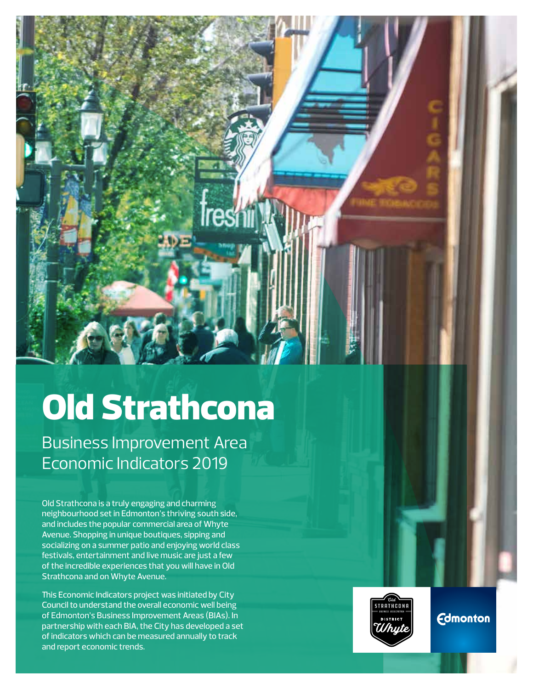

# Old Strathcona

Business Improvement Area Economic Indicators 2019

Old Strathcona is a truly engaging and charming neighbourhood set in Edmonton's thriving south side, and includes the popular commercial area of Whyte Avenue. Shopping in unique boutiques, sipping and socializing on a summer patio and enjoying world class festivals, entertainment and live music are just a few of the incredible experiences that you will have in Old Strathcona and on Whyte Avenue.

This Economic Indicators project was initiated by City Council to understand the overall economic well being of Edmonton's Business Improvement Areas (BIAs). In partnership with each BIA, the City has developed a set of indicators which can be measured annually to track and report economic trends.



**Edmonton**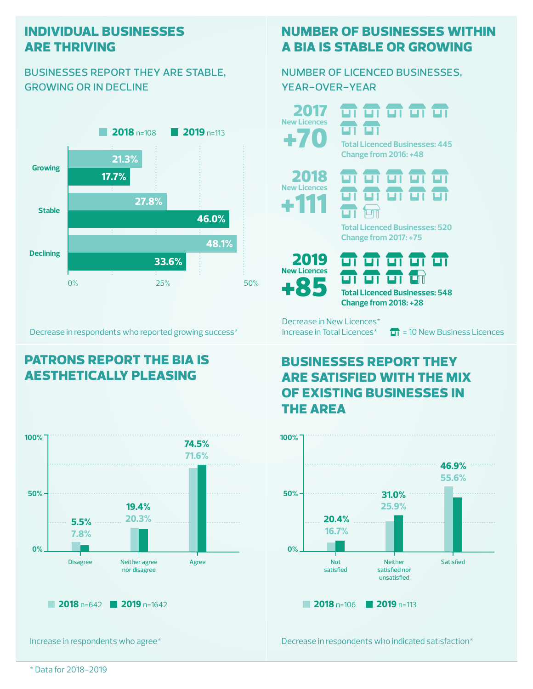#### **individual businesses are thriving**

#### businesses report they are stable, growing or in decline



Decrease in respondents who reported growing success\*

# **patrons report the bia is aesthetically pleasing**



Increase in respondents who agree\*

## **number of businesses within a bia is stable or growing**

#### number of licenced businesses, year-over-year

+70 2017 **New Licences**

ण ण **Total Licenced Businesses: 445 Change from 2016: +48**

<del>ள எ எ எ எ</del>





**Total Licenced Businesses: 520 Change from 2017: +75**





Decrease in New Licences\* **Change from 2018: +28**

Increase in Total Licences<sup>\*</sup>  $\overline{H}$  = 10 New Business Licences

## **businesses report they are satisfied with the mix of existing businesses in the area**



Decrease in respondents who indicated satisfaction\*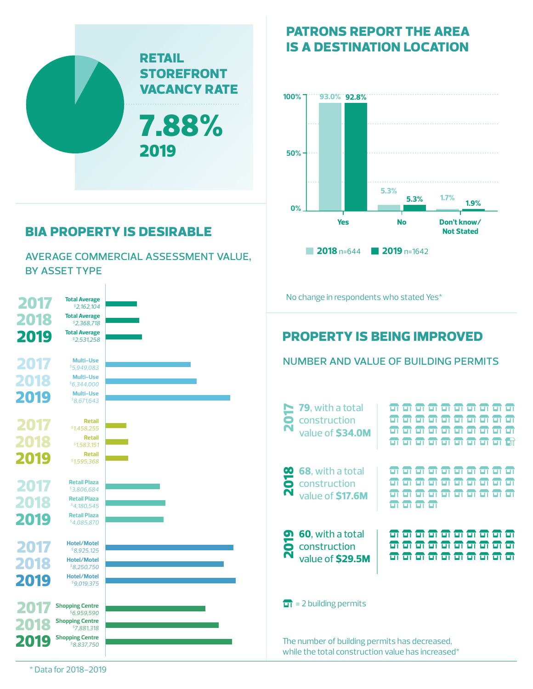

# **bia property is desirable**

average commercial assessment value, by asset type

| 2017                 | <b>Total Average</b><br>\$2,162,104                                                                           | No change in respondents who stated Yes*                                                                                                                           |                             |
|----------------------|---------------------------------------------------------------------------------------------------------------|--------------------------------------------------------------------------------------------------------------------------------------------------------------------|-----------------------------|
| 2018<br>2019         | <b>Total Average</b><br>${}^{5}2,368,718$<br><b>Total Average</b><br>\$2,531,258                              | <b>PROPERTY IS BEING IMPROVED</b>                                                                                                                                  |                             |
| 2017<br>2018         | <b>Multi-Use</b><br>\$5,949,083<br><b>Multi-Use</b><br>\$6,344,000                                            | <b>NUMBER AND VALUE OF BUILDING PERMITS</b>                                                                                                                        |                             |
| 2019<br>2017         | <b>Multi-Use</b><br>S8,671,643<br><b>Retail</b><br>51,458,255                                                 | 79, with a total<br><b>ZDOT</b><br>ण<br>ਸ਼<br>ਧਾ<br>ਸਾ<br>ण<br>ण<br>न न न<br>construction<br>ण<br>ШI<br><b>m m m</b><br>ण ण<br>ਯ<br>value of \$34.0M               | ज ज<br>ПH<br>म<br>न न<br>ПH |
| 2018<br>2019         | <b>Retail</b><br>\$1,583,151<br><b>Retail</b><br>\$1,595,368                                                  | $\blacksquare$<br><del>a a a a a a a a a</del><br>68, with a total<br>2018<br>ਯ<br>ப                                                                               |                             |
| 2017<br>2018<br>2019 | <b>Retail Plaza</b><br>\$3,806,684<br><b>Retail Plaza</b><br>54,180,545<br><b>Retail Plaza</b><br>\$4,085,870 | construction<br>ण<br>ण ण<br>ப<br>ण<br><del>m m m m m m</del><br>value of \$17.6M<br>ਧਾ<br>ਯ<br><b>n n n n</b>                                                      | प्रा पा<br>EП               |
| 2017<br>2018         | <b>Hotel/Motel</b><br>\$8,925,125<br><b>Hotel/Motel</b><br>${}^{5}8.250.750$<br><b>Hotel/Motel</b>            | 60, with a total<br>न न न न न न न न न न<br><b>ero</b><br><del>ள எ எ எ எ எ எ எ எ எ</del><br>construction<br>Ñ<br><del>a a a a a a a a a a</del><br>value of \$29.5M |                             |
| 2019<br>2018         | \$9,019,375<br><b>Shopping Centre</b><br>\$6,959,590<br><b>Shopping Centre</b>                                | $\overrightarrow{1}$ = 2 building permits                                                                                                                          |                             |
| 2019                 | \$7,881,318<br><b>Shopping Centre</b><br>\$8,837,750                                                          | The number of building permits has decreased,<br>while the total construction value has increased*                                                                 |                             |

## **patrons report the area is a destination location**